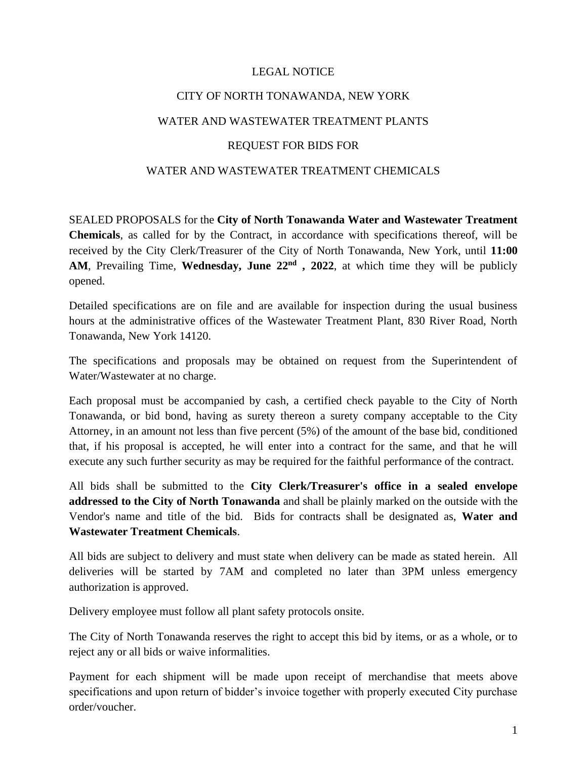## LEGAL NOTICE

# CITY OF NORTH TONAWANDA, NEW YORK

### WATER AND WASTEWATER TREATMENT PLANTS

#### REQUEST FOR BIDS FOR

#### WATER AND WASTEWATER TREATMENT CHEMICALS

SEALED PROPOSALS for the **City of North Tonawanda Water and Wastewater Treatment Chemicals**, as called for by the Contract, in accordance with specifications thereof, will be received by the City Clerk/Treasurer of the City of North Tonawanda, New York, until **11:00 AM**, Prevailing Time, **Wednesday, June 22nd , 2022**, at which time they will be publicly opened.

Detailed specifications are on file and are available for inspection during the usual business hours at the administrative offices of the Wastewater Treatment Plant, 830 River Road, North Tonawanda, New York 14120.

The specifications and proposals may be obtained on request from the Superintendent of Water/Wastewater at no charge.

Each proposal must be accompanied by cash, a certified check payable to the City of North Tonawanda, or bid bond, having as surety thereon a surety company acceptable to the City Attorney, in an amount not less than five percent (5%) of the amount of the base bid, conditioned that, if his proposal is accepted, he will enter into a contract for the same, and that he will execute any such further security as may be required for the faithful performance of the contract.

All bids shall be submitted to the **City Clerk/Treasurer's office in a sealed envelope addressed to the City of North Tonawanda** and shall be plainly marked on the outside with the Vendor's name and title of the bid. Bids for contracts shall be designated as, **Water and Wastewater Treatment Chemicals**.

All bids are subject to delivery and must state when delivery can be made as stated herein. All deliveries will be started by 7AM and completed no later than 3PM unless emergency authorization is approved.

Delivery employee must follow all plant safety protocols onsite.

The City of North Tonawanda reserves the right to accept this bid by items, or as a whole, or to reject any or all bids or waive informalities.

Payment for each shipment will be made upon receipt of merchandise that meets above specifications and upon return of bidder's invoice together with properly executed City purchase order/voucher.